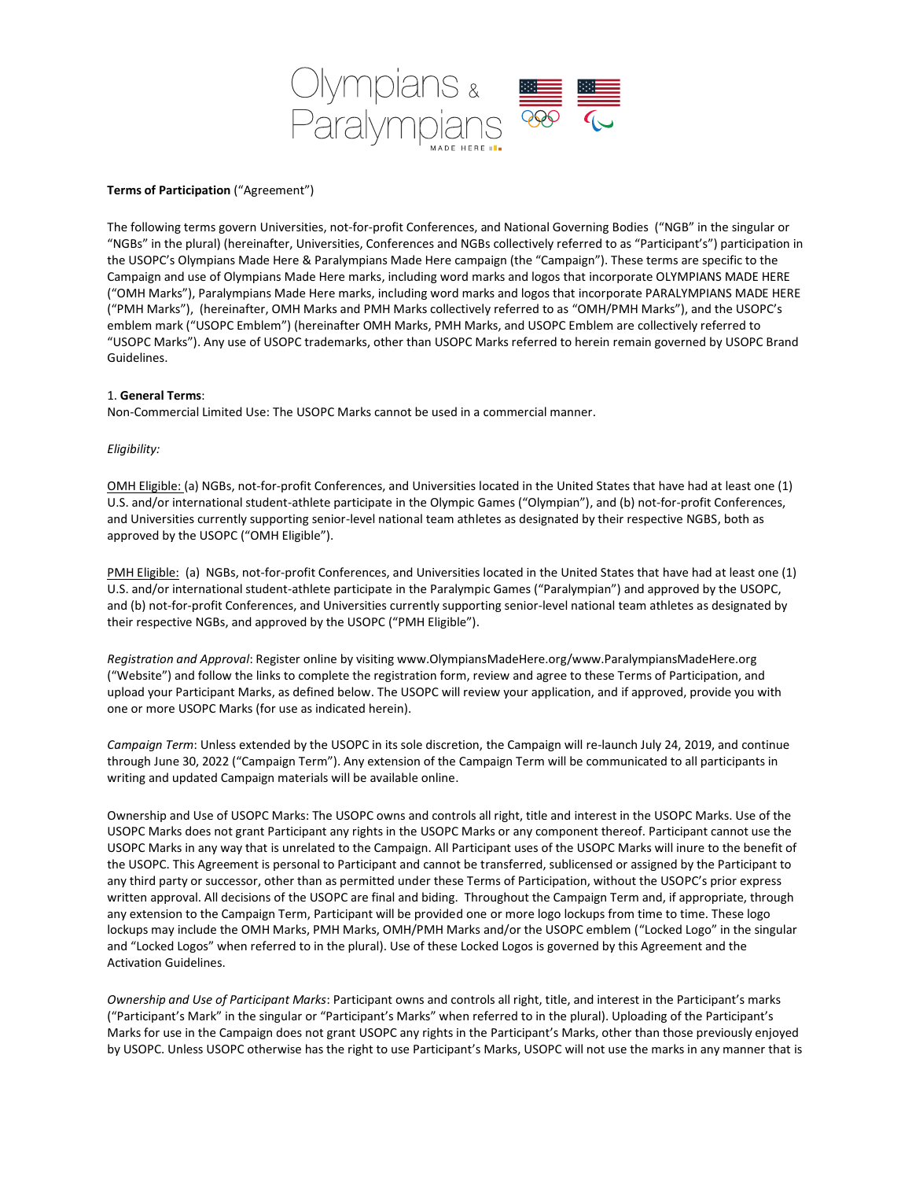

## **Terms of Participation** ("Agreement")

The following terms govern Universities, not-for-profit Conferences, and National Governing Bodies ("NGB" in the singular or "NGBs" in the plural) (hereinafter, Universities, Conferences and NGBs collectively referred to as "Participant's") participation in the USOPC's Olympians Made Here & Paralympians Made Here campaign (the "Campaign"). These terms are specific to the Campaign and use of Olympians Made Here marks, including word marks and logos that incorporate OLYMPIANS MADE HERE ("OMH Marks"), Paralympians Made Here marks, including word marks and logos that incorporate PARALYMPIANS MADE HERE ("PMH Marks"), (hereinafter, OMH Marks and PMH Marks collectively referred to as "OMH/PMH Marks"), and the USOPC's emblem mark ("USOPC Emblem") (hereinafter OMH Marks, PMH Marks, and USOPC Emblem are collectively referred to "USOPC Marks"). Any use of USOPC trademarks, other than USOPC Marks referred to herein remain governed by USOPC Brand Guidelines.

## 1. **General Terms**:

Non-Commercial Limited Use: The USOPC Marks cannot be used in a commercial manner.

## *Eligibility:*

OMH Eligible: (a) NGBs, not-for-profit Conferences, and Universities located in the United States that have had at least one (1) U.S. and/or international student-athlete participate in the Olympic Games ("Olympian"), and (b) not-for-profit Conferences, and Universities currently supporting senior-level national team athletes as designated by their respective NGBS, both as approved by the USOPC ("OMH Eligible").

PMH Eligible: (a) NGBs, not-for-profit Conferences, and Universities located in the United States that have had at least one (1) U.S. and/or international student-athlete participate in the Paralympic Games ("Paralympian") and approved by the USOPC, and (b) not-for-profit Conferences, and Universities currently supporting senior-level national team athletes as designated by their respective NGBs, and approved by the USOPC ("PMH Eligible").

*Registration and Approval*: Register online by visiting www.OlympiansMadeHere.org/www.ParalympiansMadeHere.org ("Website") and follow the links to complete the registration form, review and agree to these Terms of Participation, and upload your Participant Marks, as defined below. The USOPC will review your application, and if approved, provide you with one or more USOPC Marks (for use as indicated herein).

*Campaign Term*: Unless extended by the USOPC in its sole discretion, the Campaign will re-launch July 24, 2019, and continue through June 30, 2022 ("Campaign Term"). Any extension of the Campaign Term will be communicated to all participants in writing and updated Campaign materials will be available online.

Ownership and Use of USOPC Marks: The USOPC owns and controls all right, title and interest in the USOPC Marks. Use of the USOPC Marks does not grant Participant any rights in the USOPC Marks or any component thereof. Participant cannot use the USOPC Marks in any way that is unrelated to the Campaign. All Participant uses of the USOPC Marks will inure to the benefit of the USOPC. This Agreement is personal to Participant and cannot be transferred, sublicensed or assigned by the Participant to any third party or successor, other than as permitted under these Terms of Participation, without the USOPC's prior express written approval. All decisions of the USOPC are final and biding. Throughout the Campaign Term and, if appropriate, through any extension to the Campaign Term, Participant will be provided one or more logo lockups from time to time. These logo lockups may include the OMH Marks, PMH Marks, OMH/PMH Marks and/or the USOPC emblem ("Locked Logo" in the singular and "Locked Logos" when referred to in the plural). Use of these Locked Logos is governed by this Agreement and the Activation Guidelines.

*Ownership and Use of Participant Marks*: Participant owns and controls all right, title, and interest in the Participant's marks ("Participant's Mark" in the singular or "Participant's Marks" when referred to in the plural). Uploading of the Participant's Marks for use in the Campaign does not grant USOPC any rights in the Participant's Marks, other than those previously enjoyed by USOPC. Unless USOPC otherwise has the right to use Participant's Marks, USOPC will not use the marks in any manner that is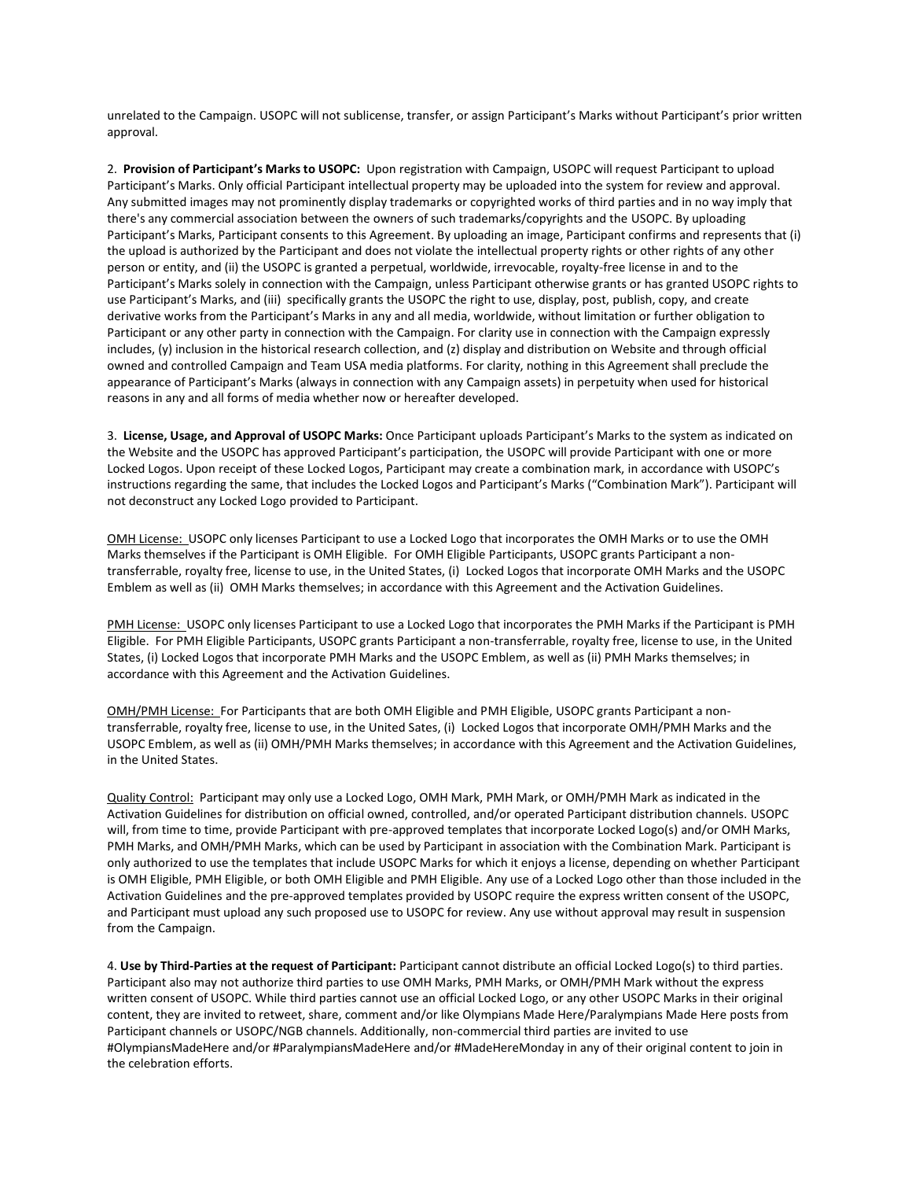unrelated to the Campaign. USOPC will not sublicense, transfer, or assign Participant's Marks without Participant's prior written approval.

2. **Provision of Participant's Marks to USOPC:** Upon registration with Campaign, USOPC will request Participant to upload Participant's Marks. Only official Participant intellectual property may be uploaded into the system for review and approval. Any submitted images may not prominently display trademarks or copyrighted works of third parties and in no way imply that there's any commercial association between the owners of such trademarks/copyrights and the USOPC. By uploading Participant's Marks, Participant consents to this Agreement. By uploading an image, Participant confirms and represents that (i) the upload is authorized by the Participant and does not violate the intellectual property rights or other rights of any other person or entity, and (ii) the USOPC is granted a perpetual, worldwide, irrevocable, royalty-free license in and to the Participant's Marks solely in connection with the Campaign, unless Participant otherwise grants or has granted USOPC rights to use Participant's Marks, and (iii) specifically grants the USOPC the right to use, display, post, publish, copy, and create derivative works from the Participant's Marks in any and all media, worldwide, without limitation or further obligation to Participant or any other party in connection with the Campaign. For clarity use in connection with the Campaign expressly includes, (y) inclusion in the historical research collection, and (z) display and distribution on Website and through official owned and controlled Campaign and Team USA media platforms. For clarity, nothing in this Agreement shall preclude the appearance of Participant's Marks (always in connection with any Campaign assets) in perpetuity when used for historical reasons in any and all forms of media whether now or hereafter developed.

3. **License, Usage, and Approval of USOPC Marks:** Once Participant uploads Participant's Marks to the system as indicated on the Website and the USOPC has approved Participant's participation, the USOPC will provide Participant with one or more Locked Logos. Upon receipt of these Locked Logos, Participant may create a combination mark, in accordance with USOPC's instructions regarding the same, that includes the Locked Logos and Participant's Marks ("Combination Mark"). Participant will not deconstruct any Locked Logo provided to Participant.

OMH License: USOPC only licenses Participant to use a Locked Logo that incorporates the OMH Marks or to use the OMH Marks themselves if the Participant is OMH Eligible. For OMH Eligible Participants, USOPC grants Participant a nontransferrable, royalty free, license to use, in the United States, (i) Locked Logos that incorporate OMH Marks and the USOPC Emblem as well as (ii) OMH Marks themselves; in accordance with this Agreement and the Activation Guidelines.

PMH License: USOPC only licenses Participant to use a Locked Logo that incorporates the PMH Marks if the Participant is PMH Eligible. For PMH Eligible Participants, USOPC grants Participant a non-transferrable, royalty free, license to use, in the United States, (i) Locked Logos that incorporate PMH Marks and the USOPC Emblem, as well as (ii) PMH Marks themselves; in accordance with this Agreement and the Activation Guidelines.

OMH/PMH License: For Participants that are both OMH Eligible and PMH Eligible, USOPC grants Participant a nontransferrable, royalty free, license to use, in the United Sates, (i) Locked Logos that incorporate OMH/PMH Marks and the USOPC Emblem, as well as (ii) OMH/PMH Marks themselves; in accordance with this Agreement and the Activation Guidelines, in the United States.

Quality Control: Participant may only use a Locked Logo, OMH Mark, PMH Mark, or OMH/PMH Mark as indicated in the Activation Guidelines for distribution on official owned, controlled, and/or operated Participant distribution channels. USOPC will, from time to time, provide Participant with pre-approved templates that incorporate Locked Logo(s) and/or OMH Marks, PMH Marks, and OMH/PMH Marks, which can be used by Participant in association with the Combination Mark. Participant is only authorized to use the templates that include USOPC Marks for which it enjoys a license, depending on whether Participant is OMH Eligible, PMH Eligible, or both OMH Eligible and PMH Eligible. Any use of a Locked Logo other than those included in the Activation Guidelines and the pre-approved templates provided by USOPC require the express written consent of the USOPC, and Participant must upload any such proposed use to USOPC for review. Any use without approval may result in suspension from the Campaign.

4. **Use by Third-Parties at the request of Participant:** Participant cannot distribute an official Locked Logo(s) to third parties. Participant also may not authorize third parties to use OMH Marks, PMH Marks, or OMH/PMH Mark without the express written consent of USOPC. While third parties cannot use an official Locked Logo, or any other USOPC Marks in their original content, they are invited to retweet, share, comment and/or like Olympians Made Here/Paralympians Made Here posts from Participant channels or USOPC/NGB channels. Additionally, non-commercial third parties are invited to use #OlympiansMadeHere and/or #ParalympiansMadeHere and/or #MadeHereMonday in any of their original content to join in the celebration efforts.